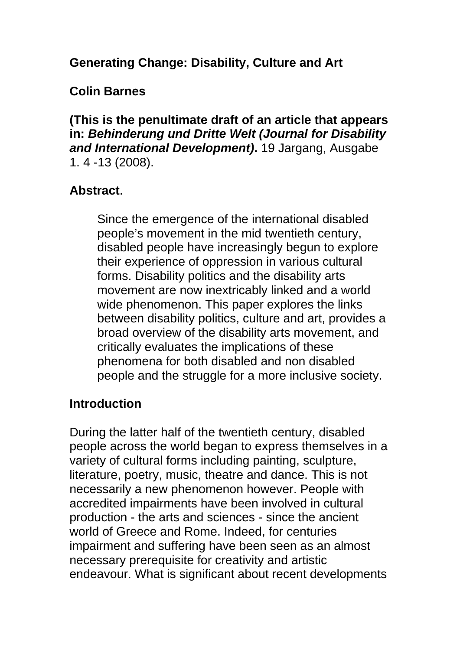## **Generating Change: Disability, Culture and Art**

## **Colin Barnes**

**(This is the penultimate draft of an article that appears in:** *Behinderung und Dritte Welt (Journal for Disability and International Development)***.** 19 Jargang, Ausgabe 1. 4 -13 (2008).

#### **Abstract**.

Since the emergence of the international disabled people's movement in the mid twentieth century, disabled people have increasingly begun to explore their experience of oppression in various cultural forms. Disability politics and the disability arts movement are now inextricably linked and a world wide phenomenon. This paper explores the links between disability politics, culture and art, provides a broad overview of the disability arts movement, and critically evaluates the implications of these phenomena for both disabled and non disabled people and the struggle for a more inclusive society.

#### **Introduction**

During the latter half of the twentieth century, disabled people across the world began to express themselves in a variety of cultural forms including painting, sculpture, literature, poetry, music, theatre and dance. This is not necessarily a new phenomenon however. People with accredited impairments have been involved in cultural production - the arts and sciences - since the ancient world of Greece and Rome. Indeed, for centuries impairment and suffering have been seen as an almost necessary prerequisite for creativity and artistic endeavour. What is significant about recent developments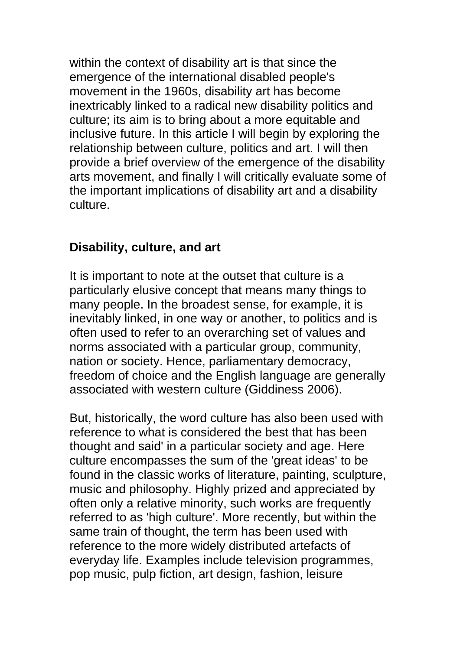within the context of disability art is that since the emergence of the international disabled people's movement in the 1960s, disability art has become inextricably linked to a radical new disability politics and culture; its aim is to bring about a more equitable and inclusive future. In this article I will begin by exploring the relationship between culture, politics and art. I will then provide a brief overview of the emergence of the disability arts movement, and finally I will critically evaluate some of the important implications of disability art and a disability culture.

#### **Disability, culture, and art**

It is important to note at the outset that culture is a particularly elusive concept that means many things to many people. In the broadest sense, for example, it is inevitably linked, in one way or another, to politics and is often used to refer to an overarching set of values and norms associated with a particular group, community, nation or society. Hence, parliamentary democracy, freedom of choice and the English language are generally associated with western culture (Giddiness 2006).

But, historically, the word culture has also been used with reference to what is considered the best that has been thought and said' in a particular society and age. Here culture encompasses the sum of the 'great ideas' to be found in the classic works of literature, painting, sculpture, music and philosophy. Highly prized and appreciated by often only a relative minority, such works are frequently referred to as 'high culture'. More recently, but within the same train of thought, the term has been used with reference to the more widely distributed artefacts of everyday life. Examples include television programmes, pop music, pulp fiction, art design, fashion, leisure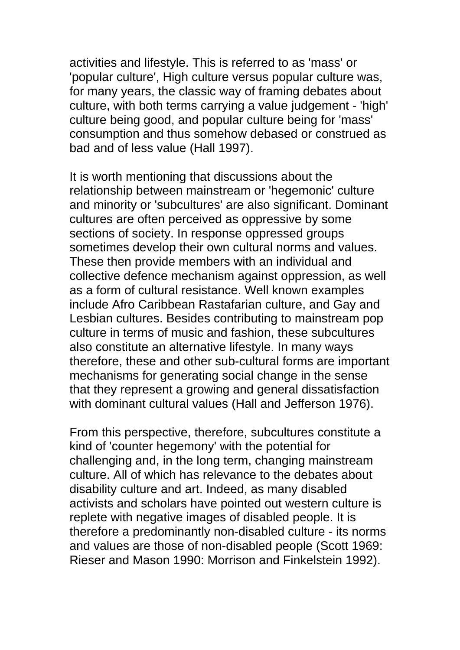activities and lifestyle. This is referred to as 'mass' or 'popular culture', High culture versus popular culture was, for many years, the classic way of framing debates about culture, with both terms carrying a value judgement - 'high' culture being good, and popular culture being for 'mass' consumption and thus somehow debased or construed as bad and of less value (Hall 1997).

It is worth mentioning that discussions about the relationship between mainstream or 'hegemonic' culture and minority or 'subcultures' are also significant. Dominant cultures are often perceived as oppressive by some sections of society. In response oppressed groups sometimes develop their own cultural norms and values. These then provide members with an individual and collective defence mechanism against oppression, as well as a form of cultural resistance. Well known examples include Afro Caribbean Rastafarian culture, and Gay and Lesbian cultures. Besides contributing to mainstream pop culture in terms of music and fashion, these subcultures also constitute an alternative lifestyle. In many ways therefore, these and other sub-cultural forms are important mechanisms for generating social change in the sense that they represent a growing and general dissatisfaction with dominant cultural values (Hall and Jefferson 1976).

From this perspective, therefore, subcultures constitute a kind of 'counter hegemony' with the potential for challenging and, in the long term, changing mainstream culture. All of which has relevance to the debates about disability culture and art. Indeed, as many disabled activists and scholars have pointed out western culture is replete with negative images of disabled people. It is therefore a predominantly non-disabled culture - its norms and values are those of non-disabled people (Scott 1969: Rieser and Mason 1990: Morrison and Finkelstein 1992).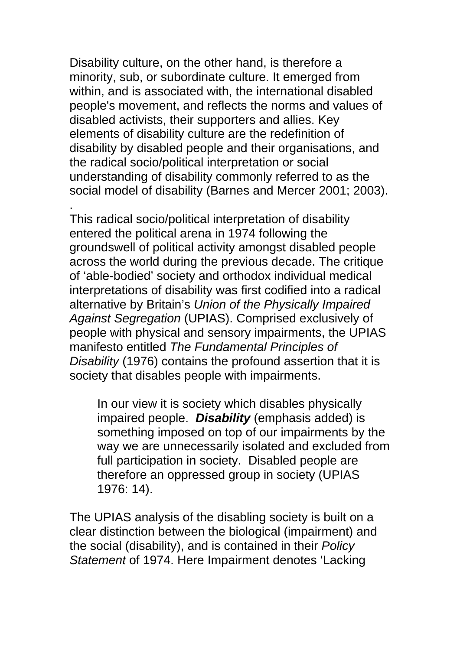Disability culture, on the other hand, is therefore a minority, sub, or subordinate culture. It emerged from within, and is associated with, the international disabled people's movement, and reflects the norms and values of disabled activists, their supporters and allies. Key elements of disability culture are the redefinition of disability by disabled people and their organisations, and the radical socio/political interpretation or social understanding of disability commonly referred to as the social model of disability (Barnes and Mercer 2001; 2003).

. This radical socio/political interpretation of disability entered the political arena in 1974 following the groundswell of political activity amongst disabled people across the world during the previous decade. The critique of 'able-bodied' society and orthodox individual medical interpretations of disability was first codified into a radical alternative by Britain's *Union of the Physically Impaired Against Segregation* (UPIAS). Comprised exclusively of people with physical and sensory impairments, the UPIAS manifesto entitled *The Fundamental Principles of Disability* (1976) contains the profound assertion that it is society that disables people with impairments.

In our view it is society which disables physically impaired people. *Disability* (emphasis added) is something imposed on top of our impairments by the way we are unnecessarily isolated and excluded from full participation in society. Disabled people are therefore an oppressed group in society (UPIAS 1976: 14).

The UPIAS analysis of the disabling society is built on a clear distinction between the biological (impairment) and the social (disability), and is contained in their *Policy Statement* of 1974. Here Impairment denotes 'Lacking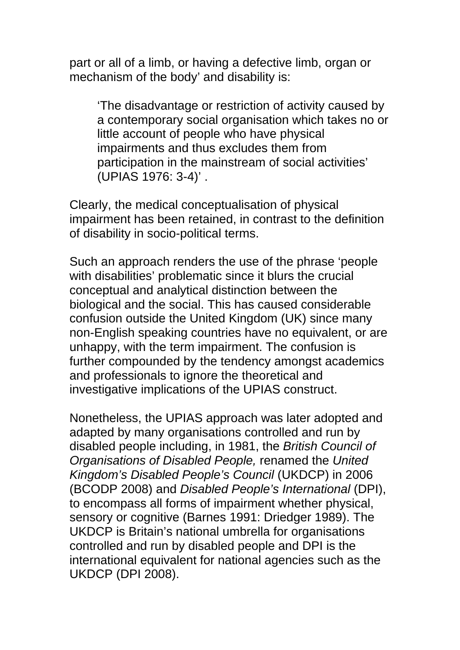part or all of a limb, or having a defective limb, organ or mechanism of the body' and disability is:

'The disadvantage or restriction of activity caused by a contemporary social organisation which takes no or little account of people who have physical impairments and thus excludes them from participation in the mainstream of social activities' (UPIAS 1976: 3-4)' .

Clearly, the medical conceptualisation of physical impairment has been retained, in contrast to the definition of disability in socio-political terms.

Such an approach renders the use of the phrase 'people with disabilities' problematic since it blurs the crucial conceptual and analytical distinction between the biological and the social. This has caused considerable confusion outside the United Kingdom (UK) since many non-English speaking countries have no equivalent, or are unhappy, with the term impairment. The confusion is further compounded by the tendency amongst academics and professionals to ignore the theoretical and investigative implications of the UPIAS construct.

Nonetheless, the UPIAS approach was later adopted and adapted by many organisations controlled and run by disabled people including, in 1981, the *British Council of Organisations of Disabled People,* renamed the *United Kingdom's Disabled People's Council* (UKDCP) in 2006 (BCODP 2008) and *Disabled People's International* (DPI), to encompass all forms of impairment whether physical, sensory or cognitive (Barnes 1991: Driedger 1989). The UKDCP is Britain's national umbrella for organisations controlled and run by disabled people and DPI is the international equivalent for national agencies such as the UKDCP (DPI 2008).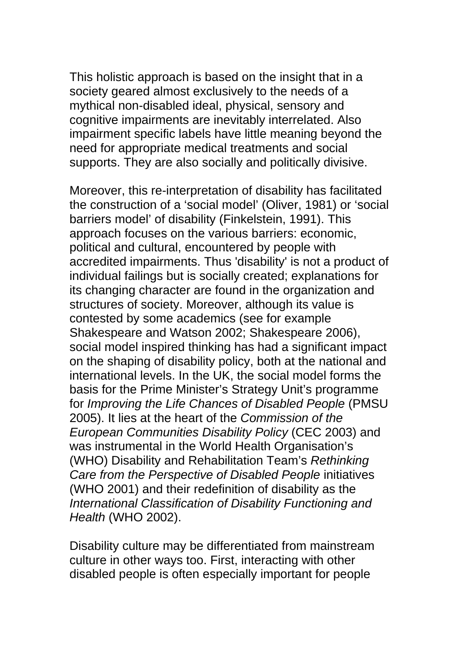This holistic approach is based on the insight that in a society geared almost exclusively to the needs of a mythical non-disabled ideal, physical, sensory and cognitive impairments are inevitably interrelated. Also impairment specific labels have little meaning beyond the need for appropriate medical treatments and social supports. They are also socially and politically divisive.

Moreover, this re-interpretation of disability has facilitated the construction of a 'social model' (Oliver, 1981) or 'social barriers model' of disability (Finkelstein, 1991). This approach focuses on the various barriers: economic, political and cultural, encountered by people with accredited impairments. Thus 'disability' is not a product of individual failings but is socially created; explanations for its changing character are found in the organization and structures of society. Moreover, although its value is contested by some academics (see for example Shakespeare and Watson 2002; Shakespeare 2006), social model inspired thinking has had a significant impact on the shaping of disability policy, both at the national and international levels. In the UK, the social model forms the basis for the Prime Minister's Strategy Unit's programme for *Improving the Life Chances of Disabled People* (PMSU 2005). It lies at the heart of the *Commission of the European Communities Disability Policy* (CEC 2003) and was instrumental in the World Health Organisation's (WHO) Disability and Rehabilitation Team's *Rethinking Care from the Perspective of Disabled People* initiatives (WHO 2001) and their redefinition of disability as the *International Classification of Disability Functioning and Health* (WHO 2002).

Disability culture may be differentiated from mainstream culture in other ways too. First, interacting with other disabled people is often especially important for people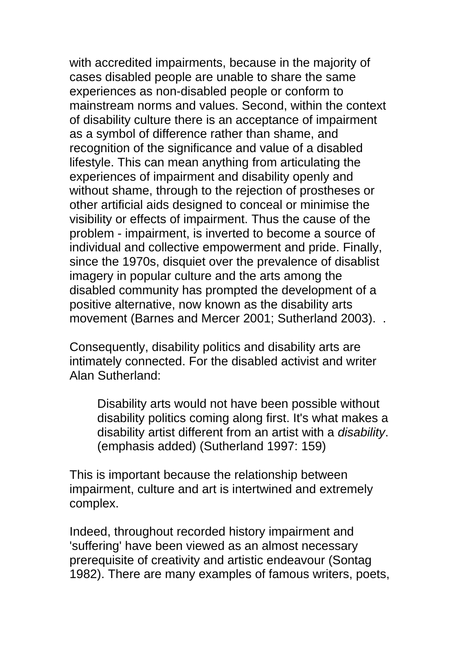with accredited impairments, because in the majority of cases disabled people are unable to share the same experiences as non-disabled people or conform to mainstream norms and values. Second, within the context of disability culture there is an acceptance of impairment as a symbol of difference rather than shame, and recognition of the significance and value of a disabled lifestyle. This can mean anything from articulating the experiences of impairment and disability openly and without shame, through to the rejection of prostheses or other artificial aids designed to conceal or minimise the visibility or effects of impairment. Thus the cause of the problem - impairment, is inverted to become a source of individual and collective empowerment and pride. Finally, since the 1970s, disquiet over the prevalence of disablist imagery in popular culture and the arts among the disabled community has prompted the development of a positive alternative, now known as the disability arts movement (Barnes and Mercer 2001; Sutherland 2003). .

Consequently, disability politics and disability arts are intimately connected. For the disabled activist and writer Alan Sutherland:

Disability arts would not have been possible without disability politics coming along first. It's what makes a disability artist different from an artist with a *disability*. (emphasis added) (Sutherland 1997: 159)

This is important because the relationship between impairment, culture and art is intertwined and extremely complex.

Indeed, throughout recorded history impairment and 'suffering' have been viewed as an almost necessary prerequisite of creativity and artistic endeavour (Sontag 1982). There are many examples of famous writers, poets,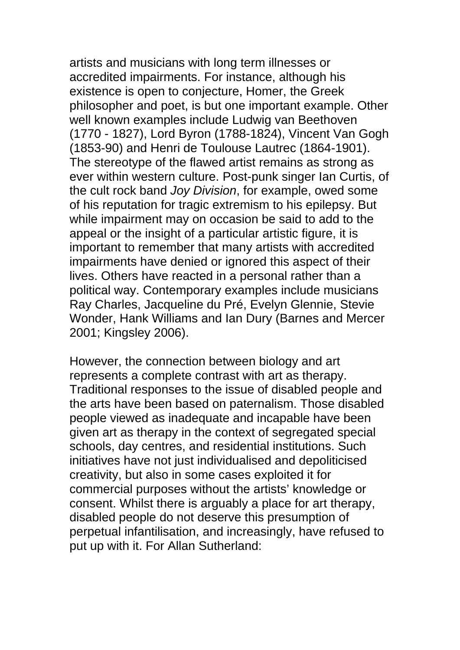artists and musicians with long term illnesses or accredited impairments. For instance, although his existence is open to conjecture, Homer, the Greek philosopher and poet, is but one important example. Other well known examples include Ludwig van Beethoven (1770 - 1827), Lord Byron (1788-1824), Vincent Van Gogh (1853-90) and Henri de Toulouse Lautrec (1864-1901). The stereotype of the flawed artist remains as strong as ever within western culture. Post-punk singer Ian Curtis, of the cult rock band *Joy Division*, for example, owed some of his reputation for tragic extremism to his epilepsy. But while impairment may on occasion be said to add to the appeal or the insight of a particular artistic figure, it is important to remember that many artists with accredited impairments have denied or ignored this aspect of their lives. Others have reacted in a personal rather than a political way. Contemporary examples include musicians Ray Charles, Jacqueline du Pré, Evelyn Glennie, Stevie Wonder, Hank Williams and Ian Dury (Barnes and Mercer 2001; Kingsley 2006).

However, the connection between biology and art represents a complete contrast with art as therapy. Traditional responses to the issue of disabled people and the arts have been based on paternalism. Those disabled people viewed as inadequate and incapable have been given art as therapy in the context of segregated special schools, day centres, and residential institutions. Such initiatives have not just individualised and depoliticised creativity, but also in some cases exploited it for commercial purposes without the artists' knowledge or consent. Whilst there is arguably a place for art therapy, disabled people do not deserve this presumption of perpetual infantilisation, and increasingly, have refused to put up with it. For Allan Sutherland: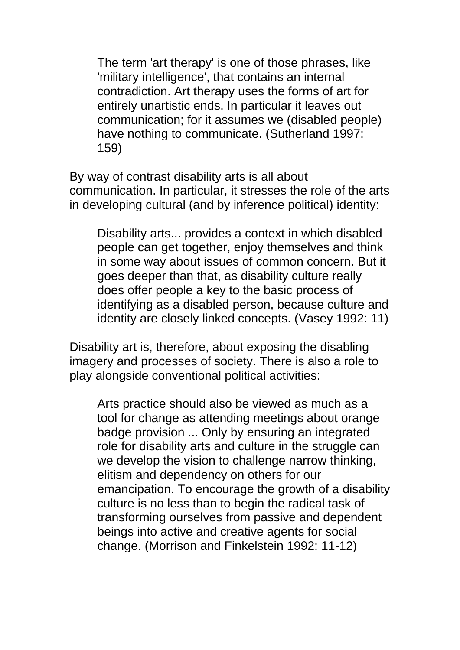The term 'art therapy' is one of those phrases, like 'military intelligence', that contains an internal contradiction. Art therapy uses the forms of art for entirely unartistic ends. In particular it leaves out communication; for it assumes we (disabled people) have nothing to communicate. (Sutherland 1997: 159)

By way of contrast disability arts is all about communication. In particular, it stresses the role of the arts in developing cultural (and by inference political) identity:

Disability arts... provides a context in which disabled people can get together, enjoy themselves and think in some way about issues of common concern. But it goes deeper than that, as disability culture really does offer people a key to the basic process of identifying as a disabled person, because culture and identity are closely linked concepts. (Vasey 1992: 11)

Disability art is, therefore, about exposing the disabling imagery and processes of society. There is also a role to play alongside conventional political activities:

Arts practice should also be viewed as much as a tool for change as attending meetings about orange badge provision ... Only by ensuring an integrated role for disability arts and culture in the struggle can we develop the vision to challenge narrow thinking, elitism and dependency on others for our emancipation. To encourage the growth of a disability culture is no less than to begin the radical task of transforming ourselves from passive and dependent beings into active and creative agents for social change. (Morrison and Finkelstein 1992: 11-12)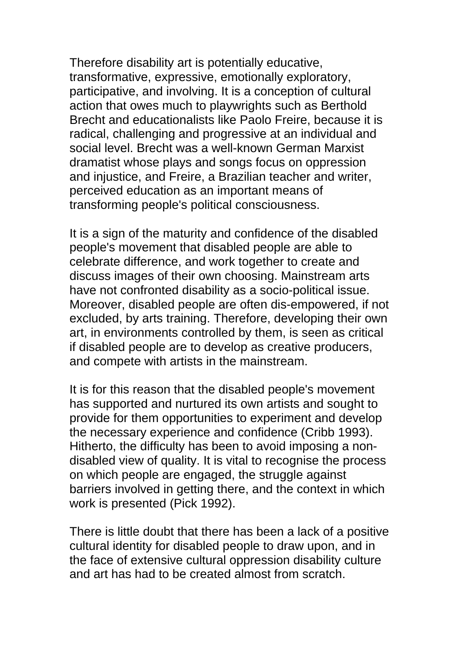Therefore disability art is potentially educative, transformative, expressive, emotionally exploratory, participative, and involving. It is a conception of cultural action that owes much to playwrights such as Berthold Brecht and educationalists like Paolo Freire, because it is radical, challenging and progressive at an individual and social level. Brecht was a well-known German Marxist dramatist whose plays and songs focus on oppression and injustice, and Freire, a Brazilian teacher and writer, perceived education as an important means of transforming people's political consciousness.

It is a sign of the maturity and confidence of the disabled people's movement that disabled people are able to celebrate difference, and work together to create and discuss images of their own choosing. Mainstream arts have not confronted disability as a socio-political issue. Moreover, disabled people are often dis-empowered, if not excluded, by arts training. Therefore, developing their own art, in environments controlled by them, is seen as critical if disabled people are to develop as creative producers, and compete with artists in the mainstream.

It is for this reason that the disabled people's movement has supported and nurtured its own artists and sought to provide for them opportunities to experiment and develop the necessary experience and confidence (Cribb 1993). Hitherto, the difficulty has been to avoid imposing a nondisabled view of quality. It is vital to recognise the process on which people are engaged, the struggle against barriers involved in getting there, and the context in which work is presented (Pick 1992).

There is little doubt that there has been a lack of a positive cultural identity for disabled people to draw upon, and in the face of extensive cultural oppression disability culture and art has had to be created almost from scratch.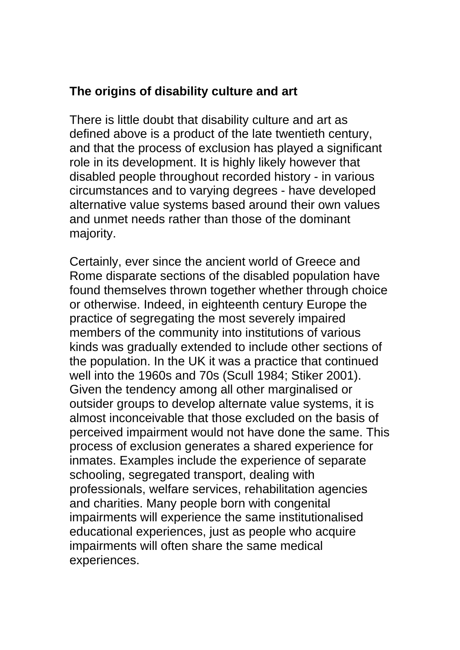## **The origins of disability culture and art**

There is little doubt that disability culture and art as defined above is a product of the late twentieth century, and that the process of exclusion has played a significant role in its development. It is highly likely however that disabled people throughout recorded history - in various circumstances and to varying degrees - have developed alternative value systems based around their own values and unmet needs rather than those of the dominant majority.

Certainly, ever since the ancient world of Greece and Rome disparate sections of the disabled population have found themselves thrown together whether through choice or otherwise. Indeed, in eighteenth century Europe the practice of segregating the most severely impaired members of the community into institutions of various kinds was gradually extended to include other sections of the population. In the UK it was a practice that continued well into the 1960s and 70s (Scull 1984; Stiker 2001). Given the tendency among all other marginalised or outsider groups to develop alternate value systems, it is almost inconceivable that those excluded on the basis of perceived impairment would not have done the same. This process of exclusion generates a shared experience for inmates. Examples include the experience of separate schooling, segregated transport, dealing with professionals, welfare services, rehabilitation agencies and charities. Many people born with congenital impairments will experience the same institutionalised educational experiences, just as people who acquire impairments will often share the same medical experiences.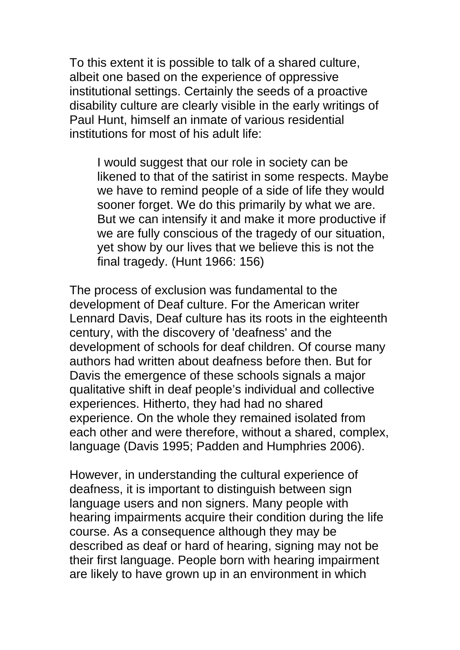To this extent it is possible to talk of a shared culture, albeit one based on the experience of oppressive institutional settings. Certainly the seeds of a proactive disability culture are clearly visible in the early writings of Paul Hunt, himself an inmate of various residential institutions for most of his adult life:

I would suggest that our role in society can be likened to that of the satirist in some respects. Maybe we have to remind people of a side of life they would sooner forget. We do this primarily by what we are. But we can intensify it and make it more productive if we are fully conscious of the tragedy of our situation, yet show by our lives that we believe this is not the final tragedy. (Hunt 1966: 156)

The process of exclusion was fundamental to the development of Deaf culture. For the American writer Lennard Davis, Deaf culture has its roots in the eighteenth century, with the discovery of 'deafness' and the development of schools for deaf children. Of course many authors had written about deafness before then. But for Davis the emergence of these schools signals a major qualitative shift in deaf people's individual and collective experiences. Hitherto, they had had no shared experience. On the whole they remained isolated from each other and were therefore, without a shared, complex, language (Davis 1995; Padden and Humphries 2006).

However, in understanding the cultural experience of deafness, it is important to distinguish between sign language users and non signers. Many people with hearing impairments acquire their condition during the life course. As a consequence although they may be described as deaf or hard of hearing, signing may not be their first language. People born with hearing impairment are likely to have grown up in an environment in which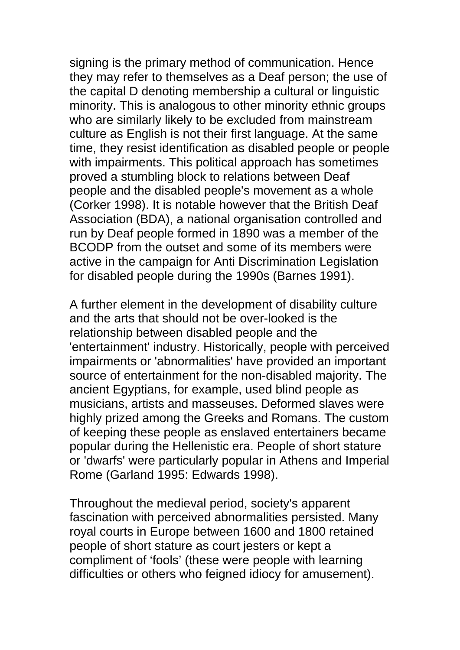signing is the primary method of communication. Hence they may refer to themselves as a Deaf person; the use of the capital D denoting membership a cultural or linguistic minority. This is analogous to other minority ethnic groups who are similarly likely to be excluded from mainstream culture as English is not their first language. At the same time, they resist identification as disabled people or people with impairments. This political approach has sometimes proved a stumbling block to relations between Deaf people and the disabled people's movement as a whole (Corker 1998). It is notable however that the British Deaf Association (BDA), a national organisation controlled and run by Deaf people formed in 1890 was a member of the BCODP from the outset and some of its members were active in the campaign for Anti Discrimination Legislation for disabled people during the 1990s (Barnes 1991).

A further element in the development of disability culture and the arts that should not be over-looked is the relationship between disabled people and the 'entertainment' industry. Historically, people with perceived impairments or 'abnormalities' have provided an important source of entertainment for the non-disabled majority. The ancient Egyptians, for example, used blind people as musicians, artists and masseuses. Deformed slaves were highly prized among the Greeks and Romans. The custom of keeping these people as enslaved entertainers became popular during the Hellenistic era. People of short stature or 'dwarfs' were particularly popular in Athens and Imperial Rome (Garland 1995: Edwards 1998).

Throughout the medieval period, society's apparent fascination with perceived abnormalities persisted. Many royal courts in Europe between 1600 and 1800 retained people of short stature as court jesters or kept a compliment of 'fools' (these were people with learning difficulties or others who feigned idiocy for amusement).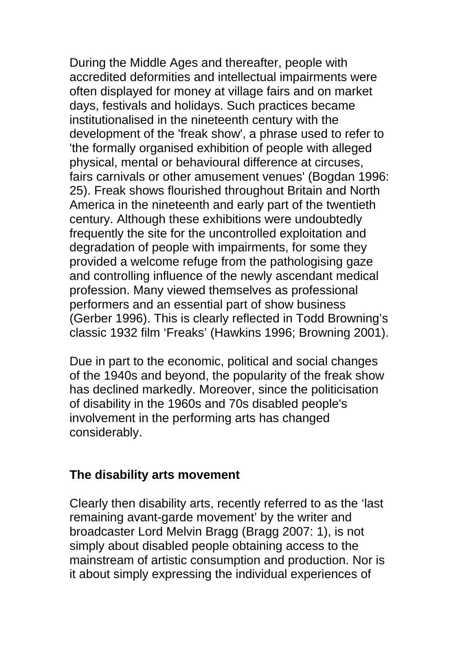During the Middle Ages and thereafter, people with accredited deformities and intellectual impairments were often displayed for money at village fairs and on market days, festivals and holidays. Such practices became institutionalised in the nineteenth century with the development of the 'freak show', a phrase used to refer to 'the formally organised exhibition of people with alleged physical, mental or behavioural difference at circuses, fairs carnivals or other amusement venues' (Bogdan 1996: 25). Freak shows flourished throughout Britain and North America in the nineteenth and early part of the twentieth century. Although these exhibitions were undoubtedly frequently the site for the uncontrolled exploitation and degradation of people with impairments, for some they provided a welcome refuge from the pathologising gaze and controlling influence of the newly ascendant medical profession. Many viewed themselves as professional performers and an essential part of show business (Gerber 1996). This is clearly reflected in Todd Browning's classic 1932 film 'Freaks' (Hawkins 1996; Browning 2001).

Due in part to the economic, political and social changes of the 1940s and beyond, the popularity of the freak show has declined markedly. Moreover, since the politicisation of disability in the 1960s and 70s disabled people's involvement in the performing arts has changed considerably.

#### **The disability arts movement**

Clearly then disability arts, recently referred to as the 'last remaining avant-garde movement' by the writer and broadcaster Lord Melvin Bragg (Bragg 2007: 1), is not simply about disabled people obtaining access to the mainstream of artistic consumption and production. Nor is it about simply expressing the individual experiences of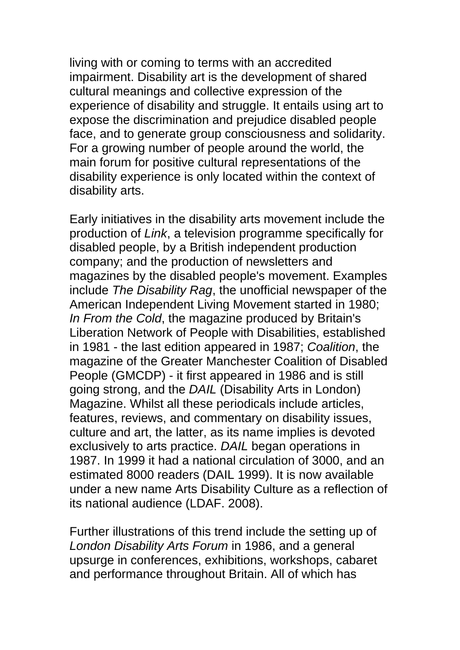living with or coming to terms with an accredited impairment. Disability art is the development of shared cultural meanings and collective expression of the experience of disability and struggle. It entails using art to expose the discrimination and prejudice disabled people face, and to generate group consciousness and solidarity. For a growing number of people around the world, the main forum for positive cultural representations of the disability experience is only located within the context of disability arts.

Early initiatives in the disability arts movement include the production of *Link*, a television programme specifically for disabled people, by a British independent production company; and the production of newsletters and magazines by the disabled people's movement. Examples include *The Disability Rag*, the unofficial newspaper of the American Independent Living Movement started in 1980; *In From the Cold*, the magazine produced by Britain's Liberation Network of People with Disabilities, established in 1981 - the last edition appeared in 1987; *Coalition*, the magazine of the Greater Manchester Coalition of Disabled People (GMCDP) - it first appeared in 1986 and is still going strong, and the *DAIL* (Disability Arts in London) Magazine. Whilst all these periodicals include articles, features, reviews, and commentary on disability issues, culture and art, the latter, as its name implies is devoted exclusively to arts practice. *DAIL* began operations in 1987. In 1999 it had a national circulation of 3000, and an estimated 8000 readers (DAIL 1999). It is now available under a new name Arts Disability Culture as a reflection of its national audience (LDAF. 2008).

Further illustrations of this trend include the setting up of *London Disability Arts Forum* in 1986, and a general upsurge in conferences, exhibitions, workshops, cabaret and performance throughout Britain. All of which has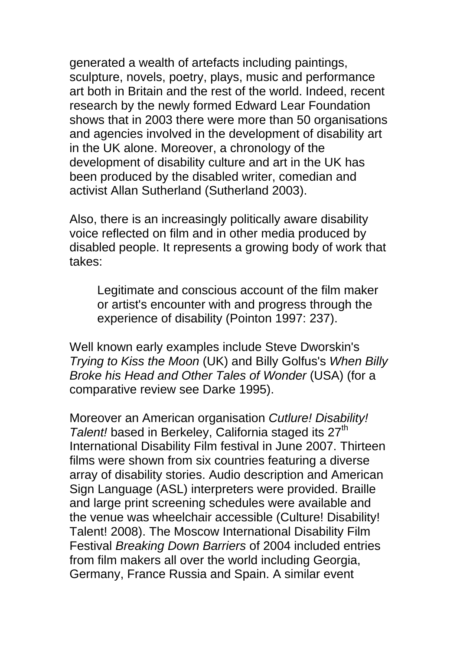generated a wealth of artefacts including paintings, sculpture, novels, poetry, plays, music and performance art both in Britain and the rest of the world. Indeed, recent research by the newly formed Edward Lear Foundation shows that in 2003 there were more than 50 organisations and agencies involved in the development of disability art in the UK alone. Moreover, a chronology of the development of disability culture and art in the UK has been produced by the disabled writer, comedian and activist Allan Sutherland (Sutherland 2003).

Also, there is an increasingly politically aware disability voice reflected on film and in other media produced by disabled people. It represents a growing body of work that takes:

Legitimate and conscious account of the film maker or artist's encounter with and progress through the experience of disability (Pointon 1997: 237).

Well known early examples include Steve Dworskin's *Trying to Kiss the Moon* (UK) and Billy Golfus's *When Billy Broke his Head and Other Tales of Wonder* (USA) (for a comparative review see Darke 1995).

Moreover an American organisation *Cutlure! Disability!*  Talent! based in Berkeley, California staged its 27<sup>th</sup> International Disability Film festival in June 2007. Thirteen films were shown from six countries featuring a diverse array of disability stories. Audio description and American Sign Language (ASL) interpreters were provided. Braille and large print screening schedules were available and the venue was wheelchair accessible (Culture! Disability! Talent! 2008). The Moscow International Disability Film Festival *Breaking Down Barriers* of 2004 included entries from film makers all over the world including Georgia, Germany, France Russia and Spain. A similar event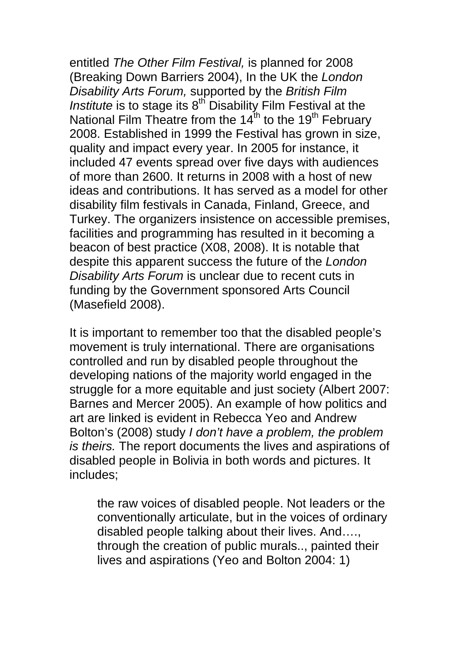entitled *The Other Film Festival,* is planned for 2008 (Breaking Down Barriers 2004), In the UK the *London Disability Arts Forum,* supported by the *British Film Institute* is to stage its 8<sup>th</sup> Disability Film Festival at the National Film Theatre from the  $14^{th}$  to the 19<sup>th</sup> February 2008. Established in 1999 the Festival has grown in size, quality and impact every year. In 2005 for instance, it included 47 events spread over five days with audiences of more than 2600. It returns in 2008 with a host of new ideas and contributions. It has served as a model for other disability film festivals in Canada, Finland, Greece, and Turkey. The organizers insistence on accessible premises, facilities and programming has resulted in it becoming a beacon of best practice (X08, 2008). It is notable that despite this apparent success the future of the *London Disability Arts Forum* is unclear due to recent cuts in funding by the Government sponsored Arts Council (Masefield 2008).

It is important to remember too that the disabled people's movement is truly international. There are organisations controlled and run by disabled people throughout the developing nations of the majority world engaged in the struggle for a more equitable and just society (Albert 2007: Barnes and Mercer 2005). An example of how politics and art are linked is evident in Rebecca Yeo and Andrew Bolton's (2008) study *I don't have a problem, the problem is theirs.* The report documents the lives and aspirations of disabled people in Bolivia in both words and pictures. It includes;

the raw voices of disabled people. Not leaders or the conventionally articulate, but in the voices of ordinary disabled people talking about their lives. And…., through the creation of public murals.., painted their lives and aspirations (Yeo and Bolton 2004: 1)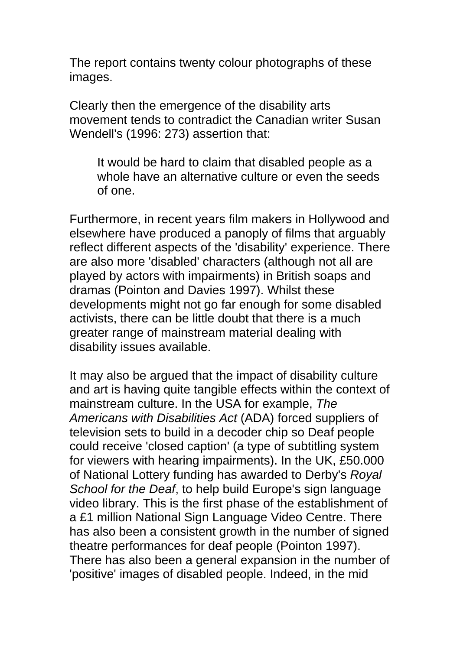The report contains twenty colour photographs of these images.

Clearly then the emergence of the disability arts movement tends to contradict the Canadian writer Susan Wendell's (1996: 273) assertion that:

It would be hard to claim that disabled people as a whole have an alternative culture or even the seeds of one.

Furthermore, in recent years film makers in Hollywood and elsewhere have produced a panoply of films that arguably reflect different aspects of the 'disability' experience. There are also more 'disabled' characters (although not all are played by actors with impairments) in British soaps and dramas (Pointon and Davies 1997). Whilst these developments might not go far enough for some disabled activists, there can be little doubt that there is a much greater range of mainstream material dealing with disability issues available.

It may also be argued that the impact of disability culture and art is having quite tangible effects within the context of mainstream culture. In the USA for example, *The Americans with Disabilities Act* (ADA) forced suppliers of television sets to build in a decoder chip so Deaf people could receive 'closed caption' (a type of subtitling system for viewers with hearing impairments). In the UK, £50.000 of National Lottery funding has awarded to Derby's *Royal School for the Deaf*, to help build Europe's sign language video library. This is the first phase of the establishment of a £1 million National Sign Language Video Centre. There has also been a consistent growth in the number of signed theatre performances for deaf people (Pointon 1997). There has also been a general expansion in the number of 'positive' images of disabled people. Indeed, in the mid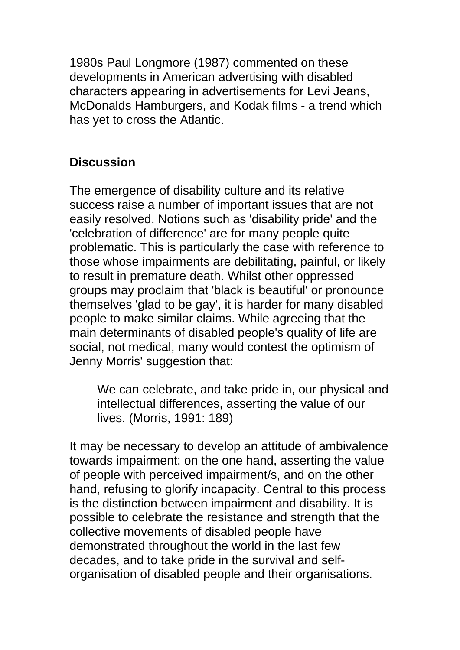1980s Paul Longmore (1987) commented on these developments in American advertising with disabled characters appearing in advertisements for Levi Jeans, McDonalds Hamburgers, and Kodak films - a trend which has yet to cross the Atlantic.

### **Discussion**

The emergence of disability culture and its relative success raise a number of important issues that are not easily resolved. Notions such as 'disability pride' and the 'celebration of difference' are for many people quite problematic. This is particularly the case with reference to those whose impairments are debilitating, painful, or likely to result in premature death. Whilst other oppressed groups may proclaim that 'black is beautiful' or pronounce themselves 'glad to be gay', it is harder for many disabled people to make similar claims. While agreeing that the main determinants of disabled people's quality of life are social, not medical, many would contest the optimism of Jenny Morris' suggestion that:

We can celebrate, and take pride in, our physical and intellectual differences, asserting the value of our lives. (Morris, 1991: 189)

It may be necessary to develop an attitude of ambivalence towards impairment: on the one hand, asserting the value of people with perceived impairment/s, and on the other hand, refusing to glorify incapacity. Central to this process is the distinction between impairment and disability. It is possible to celebrate the resistance and strength that the collective movements of disabled people have demonstrated throughout the world in the last few decades, and to take pride in the survival and selforganisation of disabled people and their organisations.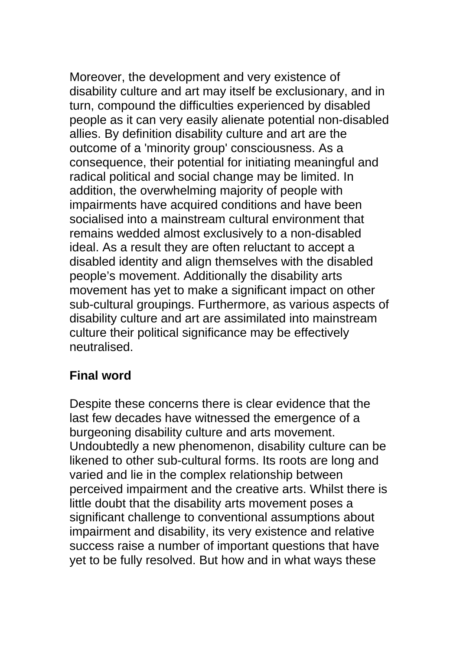Moreover, the development and very existence of disability culture and art may itself be exclusionary, and in turn, compound the difficulties experienced by disabled people as it can very easily alienate potential non-disabled allies. By definition disability culture and art are the outcome of a 'minority group' consciousness. As a consequence, their potential for initiating meaningful and radical political and social change may be limited. In addition, the overwhelming majority of people with impairments have acquired conditions and have been socialised into a mainstream cultural environment that remains wedded almost exclusively to a non-disabled ideal. As a result they are often reluctant to accept a disabled identity and align themselves with the disabled people's movement. Additionally the disability arts movement has yet to make a significant impact on other sub-cultural groupings. Furthermore, as various aspects of disability culture and art are assimilated into mainstream culture their political significance may be effectively neutralised.

# **Final word**

Despite these concerns there is clear evidence that the last few decades have witnessed the emergence of a burgeoning disability culture and arts movement. Undoubtedly a new phenomenon, disability culture can be likened to other sub-cultural forms. Its roots are long and varied and lie in the complex relationship between perceived impairment and the creative arts. Whilst there is little doubt that the disability arts movement poses a significant challenge to conventional assumptions about impairment and disability, its very existence and relative success raise a number of important questions that have yet to be fully resolved. But how and in what ways these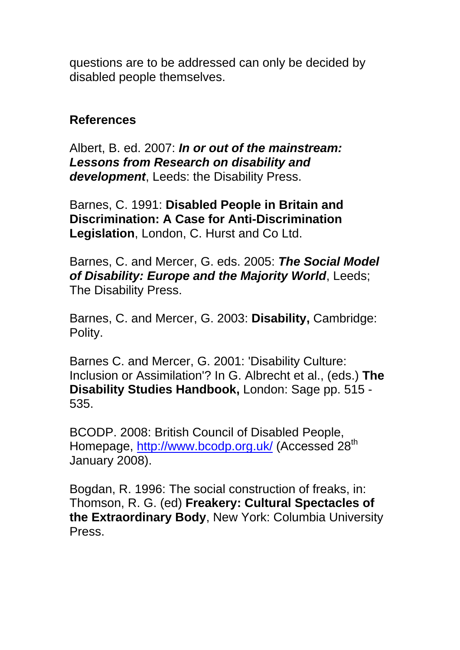questions are to be addressed can only be decided by disabled people themselves.

#### **References**

Albert, B. ed. 2007: *In or out of the mainstream: Lessons from Research on disability and development*, Leeds: the Disability Press.

Barnes, C. 1991: **Disabled People in Britain and Discrimination: A Case for Anti-Discrimination Legislation**, London, C. Hurst and Co Ltd.

Barnes, C. and Mercer, G. eds. 2005: *The Social Model of Disability: Europe and the Majority World*, Leeds; The Disability Press.

Barnes, C. and Mercer, G. 2003: **Disability,** Cambridge: Polity.

Barnes C. and Mercer, G. 2001: 'Disability Culture: Inclusion or Assimilation'? In G. Albrecht et al., (eds.) **The Disability Studies Handbook,** London: Sage pp. 515 - 535.

BCODP. 2008: British Council of Disabled People, Homepage, http://www.bcodp.org.uk/ (Accessed 28<sup>th</sup> January 2008).

Bogdan, R. 1996: The social construction of freaks, in: Thomson, R. G. (ed) **Freakery: Cultural Spectacles of the Extraordinary Body**, New York: Columbia University Press.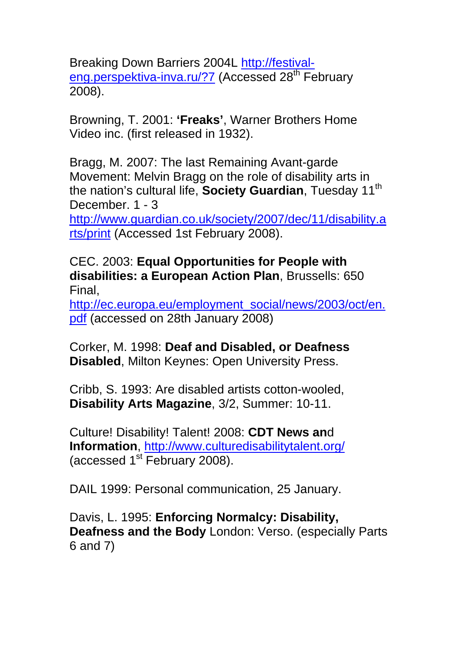Breaking Down Barriers 2004L http://festivaleng.perspektiva-inva.ru/?7 (Accessed 28<sup>th</sup> February 2008).

Browning, T. 2001: **'Freaks'**, Warner Brothers Home Video inc. (first released in 1932).

Bragg, M. 2007: The last Remaining Avant-garde Movement: Melvin Bragg on the role of disability arts in the nation's cultural life, **Society Guardian**, Tuesday 11<sup>th</sup> December. 1 - 3

http://www.guardian.co.uk/society/2007/dec/11/disability.a rts/print (Accessed 1st February 2008).

CEC. 2003: **Equal Opportunities for People with disabilities: a European Action Plan**, Brussells: 650 Final,

http://ec.europa.eu/employment\_social/news/2003/oct/en. pdf (accessed on 28th January 2008)

Corker, M. 1998: **Deaf and Disabled, or Deafness Disabled**, Milton Keynes: Open University Press.

Cribb, S. 1993: Are disabled artists cotton-wooled, **Disability Arts Magazine**, 3/2, Summer: 10-11.

Culture! Disability! Talent! 2008: **CDT News an**d **Information**, http://www.culturedisabilitytalent.org/ (accessed 1<sup>st</sup> February 2008).

DAIL 1999: Personal communication, 25 January.

Davis, L. 1995: **Enforcing Normalcy: Disability, Deafness and the Body** London: Verso. (especially Parts 6 and 7)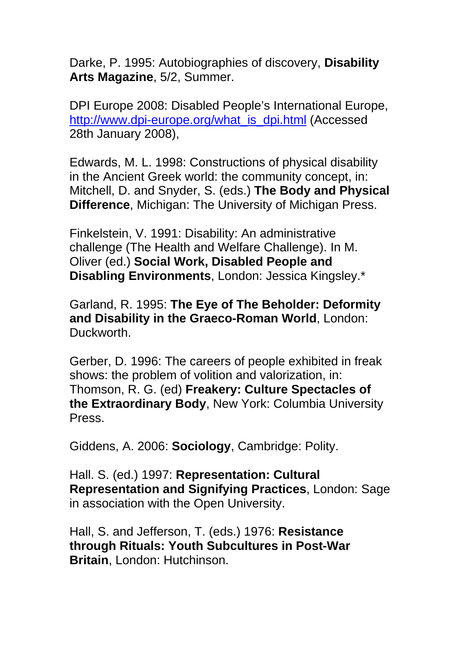Darke, P. 1995: Autobiographies of discovery, **Disability Arts Magazine**, 5/2, Summer.

DPI Europe 2008: Disabled People's International Europe, http://www.dpi-europe.org/what\_is\_dpi.html (Accessed 28th January 2008),

Edwards, M. L. 1998: Constructions of physical disability in the Ancient Greek world: the community concept, in: Mitchell, D. and Snyder, S. (eds.) **The Body and Physical Difference**, Michigan: The University of Michigan Press.

Finkelstein, V. 1991: Disability: An administrative challenge (The Health and Welfare Challenge). In M. Oliver (ed.) **Social Work, Disabled People and Disabling Environments**, London: Jessica Kingsley.\*

Garland, R. 1995: **The Eye of The Beholder: Deformity and Disability in the Graeco-Roman World**, London: Duckworth.

Gerber, D. 1996: The careers of people exhibited in freak shows: the problem of volition and valorization, in: Thomson, R. G. (ed) **Freakery: Culture Spectacles of the Extraordinary Body**, New York: Columbia University Press.

Giddens, A. 2006: **Sociology**, Cambridge: Polity.

Hall. S. (ed.) 1997: **Representation: Cultural Representation and Signifying Practices**, London: Sage in association with the Open University.

Hall, S. and Jefferson, T. (eds.) 1976: **Resistance through Rituals: Youth Subcultures in Post-War Britain**, London: Hutchinson.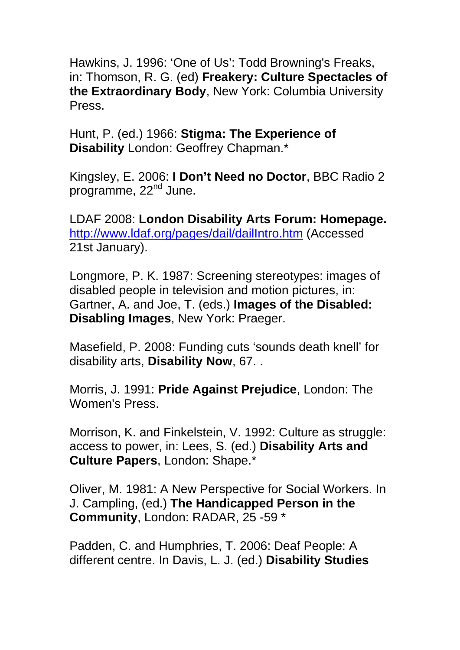Hawkins, J. 1996: 'One of Us': Todd Browning's Freaks, in: Thomson, R. G. (ed) **Freakery: Culture Spectacles of the Extraordinary Body**, New York: Columbia University Press.

Hunt, P. (ed.) 1966: **Stigma: The Experience of Disability** London: Geoffrey Chapman.\*

Kingsley, E. 2006: **I Don't Need no Doctor**, BBC Radio 2 programme, 22<sup>nd</sup> June.

LDAF 2008: **London Disability Arts Forum: Homepage.**  http://www.ldaf.org/pages/dail/dailIntro.htm (Accessed 21st January).

Longmore, P. K. 1987: Screening stereotypes: images of disabled people in television and motion pictures, in: Gartner, A. and Joe, T. (eds.) **Images of the Disabled: Disabling Images**, New York: Praeger.

Masefield, P. 2008: Funding cuts 'sounds death knell' for disability arts, **Disability Now**, 67. .

Morris, J. 1991: **Pride Against Prejudice**, London: The Women's Press.

Morrison, K. and Finkelstein, V. 1992: Culture as struggle: access to power, in: Lees, S. (ed.) **Disability Arts and Culture Papers**, London: Shape.\*

Oliver, M. 1981: A New Perspective for Social Workers. In J. Campling, (ed.) **The Handicapped Person in the Community**, London: RADAR, 25 -59 \*

Padden, C. and Humphries, T. 2006: Deaf People: A different centre. In Davis, L. J. (ed.) **Disability Studies**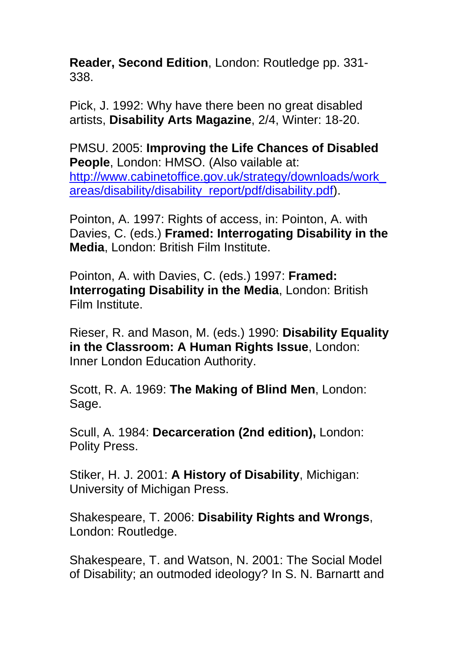**Reader, Second Edition**, London: Routledge pp. 331- 338.

Pick, J. 1992: Why have there been no great disabled artists, **Disability Arts Magazine**, 2/4, Winter: 18-20.

PMSU. 2005: **Improving the Life Chances of Disabled People**, London: HMSO. (Also vailable at: http://www.cabinetoffice.gov.uk/strategy/downloads/work\_ areas/disability/disability\_report/pdf/disability.pdf).

Pointon, A. 1997: Rights of access, in: Pointon, A. with Davies, C. (eds.) **Framed: Interrogating Disability in the Media**, London: British Film Institute.

Pointon, A. with Davies, C. (eds.) 1997: **Framed: Interrogating Disability in the Media**, London: British Film Institute.

Rieser, R. and Mason, M. (eds.) 1990: **Disability Equality in the Classroom: A Human Rights Issue**, London: Inner London Education Authority.

Scott, R. A. 1969: **The Making of Blind Men**, London: Sage.

Scull, A. 1984: **Decarceration (2nd edition),** London: Polity Press.

Stiker, H. J. 2001: **A History of Disability**, Michigan: University of Michigan Press.

Shakespeare, T. 2006: **Disability Rights and Wrongs**, London: Routledge.

Shakespeare, T. and Watson, N. 2001: The Social Model of Disability; an outmoded ideology? In S. N. Barnartt and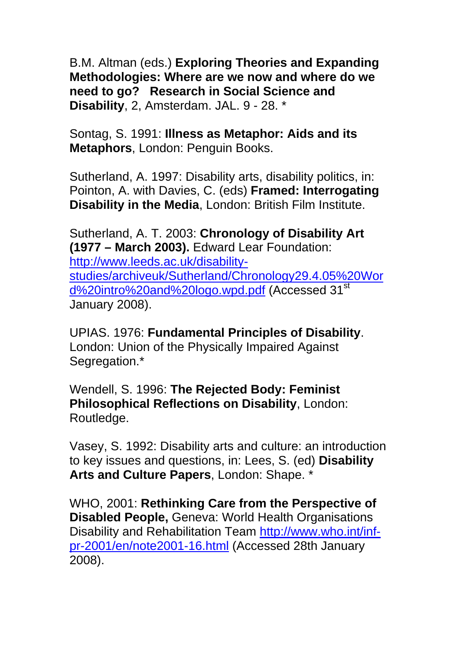B.M. Altman (eds.) **Exploring Theories and Expanding Methodologies: Where are we now and where do we need to go? Research in Social Science and Disability**, 2, Amsterdam. JAL. 9 - 28. \*

Sontag, S. 1991: **Illness as Metaphor: Aids and its Metaphors**, London: Penguin Books.

Sutherland, A. 1997: Disability arts, disability politics, in: Pointon, A. with Davies, C. (eds) **Framed: Interrogating Disability in the Media**, London: British Film Institute.

Sutherland, A. T. 2003: **Chronology of Disability Art (1977 – March 2003).** Edward Lear Foundation: http://www.leeds.ac.uk/disabilitystudies/archiveuk/Sutherland/Chronology29.4.05%20Wor d%20intro%20and%20logo.wpd.pdf (Accessed 31<sup>st</sup> January 2008).

UPIAS. 1976: **Fundamental Principles of Disability**. London: Union of the Physically Impaired Against Segregation.\*

Wendell, S. 1996: **The Rejected Body: Feminist Philosophical Reflections on Disability**, London: Routledge.

Vasey, S. 1992: Disability arts and culture: an introduction to key issues and questions, in: Lees, S. (ed) **Disability Arts and Culture Papers**, London: Shape. \*

WHO, 2001: **Rethinking Care from the Perspective of Disabled People,** Geneva: World Health Organisations Disability and Rehabilitation Team http://www.who.int/infpr-2001/en/note2001-16.html (Accessed 28th January 2008).